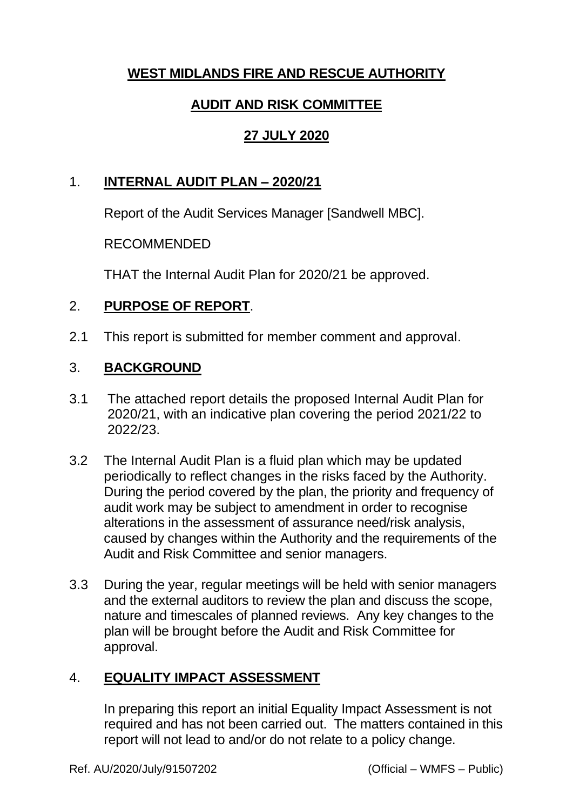# **WEST MIDLANDS FIRE AND RESCUE AUTHORITY**

# **AUDIT AND RISK COMMITTEE**

# **27 JULY 2020**

#### 1. **INTERNAL AUDIT PLAN – 2020/21**

Report of the Audit Services Manager [Sandwell MBC].

#### RECOMMENDED

THAT the Internal Audit Plan for 2020/21 be approved.

## 2. **PURPOSE OF REPORT**.

2.1 This report is submitted for member comment and approval.

## 3. **BACKGROUND**

- 3.1 The attached report details the proposed Internal Audit Plan for 2020/21, with an indicative plan covering the period 2021/22 to 2022/23.
- 3.2 The Internal Audit Plan is a fluid plan which may be updated periodically to reflect changes in the risks faced by the Authority. During the period covered by the plan, the priority and frequency of audit work may be subject to amendment in order to recognise alterations in the assessment of assurance need/risk analysis, caused by changes within the Authority and the requirements of the Audit and Risk Committee and senior managers.
- 3.3 During the year, regular meetings will be held with senior managers and the external auditors to review the plan and discuss the scope, nature and timescales of planned reviews. Any key changes to the plan will be brought before the Audit and Risk Committee for approval.

## 4. **EQUALITY IMPACT ASSESSMENT**

In preparing this report an initial Equality Impact Assessment is not required and has not been carried out. The matters contained in this report will not lead to and/or do not relate to a policy change.